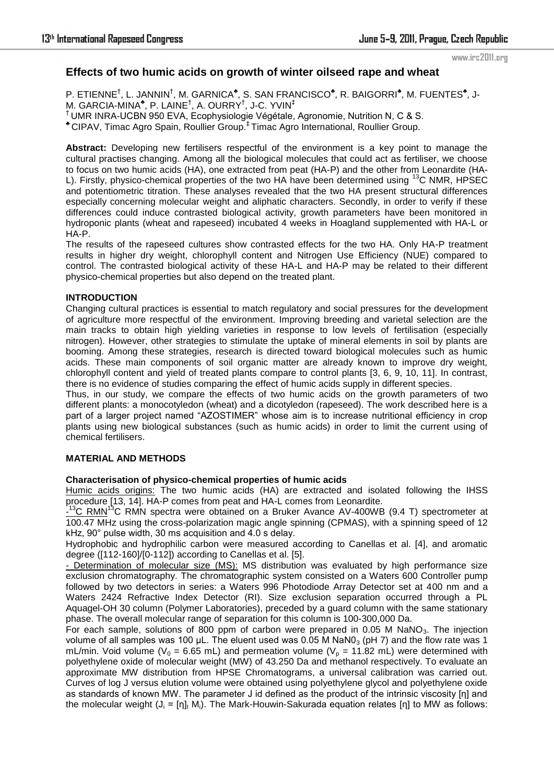# **Effects of two humic acids on growth of winter oilseed rape and wheat**

P. ETIENNE<sup>†</sup>, L. JANNIN<sup>†</sup>, M. GARNICA<sup>\*</sup>, S. SAN FRANCISCO<sup>\*</sup>, R. BAIGORRI<sup>\*</sup>, M. FUENTES<sup>\*</sup>, J-M. GARCIA-MINA $^\bullet$ , P. LAINE $^\dagger$ , A. OURRY $^\dagger$ , J-C. YVIN $^\ddagger$ † UMR INRA-UCBN 950 EVA, Ecophysiologie Végétale, Agronomie, Nutrition N, C & S. ♣ CIPAV, Timac Agro Spain, Roullier Group.‡ Timac Agro International, Roullier Group.

**Abstract:** Developing new fertilisers respectful of the environment is a key point to manage the cultural practises changing. Among all the biological molecules that could act as fertiliser, we choose to focus on two humic acids (HA), one extracted from peat (HA-P) and the other from Leonardite (HA-L). Firstly, physico-chemical properties of the two HA have been determined using <sup>13</sup>C NMR, HPSEC and potentiometric titration. These analyses revealed that the two HA present structural differences especially concerning molecular weight and aliphatic characters. Secondly, in order to verify if these differences could induce contrasted biological activity, growth parameters have been monitored in hydroponic plants (wheat and rapeseed) incubated 4 weeks in Hoagland supplemented with HA-L or HA-P.

The results of the rapeseed cultures show contrasted effects for the two HA. Only HA-P treatment results in higher dry weight, chlorophyll content and Nitrogen Use Efficiency (NUE) compared to control. The contrasted biological activity of these HA-L and HA-P may be related to their different physico-chemical properties but also depend on the treated plant.

# **INTRODUCTION**

Changing cultural practices is essential to match regulatory and social pressures for the development of agriculture more respectful of the environment. Improving breeding and varietal selection are the main tracks to obtain high yielding varieties in response to low levels of fertilisation (especially nitrogen). However, other strategies to stimulate the uptake of mineral elements in soil by plants are booming. Among these strategies, research is directed toward biological molecules such as humic acids. These main components of soil organic matter are already known to improve dry weight, chlorophyll content and yield of treated plants compare to control plants [3, 6, 9, 10, 11]. In contrast, there is no evidence of studies comparing the effect of humic acids supply in different species.

Thus, in our study, we compare the effects of two humic acids on the growth parameters of two different plants: a monocotyledon (wheat) and a dicotyledon (rapeseed). The work described here is a part of a larger project named "AZOSTIMER" whose aim is to increase nutritional efficiency in crop plants using new biological substances (such as humic acids) in order to limit the current using of chemical fertilisers.

### **MATERIAL AND METHODS**

### **Characterisation of physico-chemical properties of humic acids**

Humic acids origins: The two humic acids (HA) are extracted and isolated following the IHSS procedure [13, 14]. HA-P comes from peat and HA-L comes from Leonardite.

-  $13^{\circ}$ C RMN<sup>13</sup>C RMN spectra were obtained on a Bruker Avance AV-400WB (9.4 T) spectrometer at 100.47 MHz using the cross-polarization magic angle spinning (CPMAS), with a spinning speed of 12 kHz, 90° pulse width, 30 ms acquisition and 4.0 s delay.

Hydrophobic and hydrophilic carbon were measured according to Canellas et al. [4], and aromatic degree ([112-160]/[0-112]) according to Canellas et al. [5].

- Determination of molecular size (MS): MS distribution was evaluated by high performance size exclusion chromatography. The chromatographic system consisted on a Waters 600 Controller pump followed by two detectors in series: a Waters 996 Photodiode Array Detector set at 400 nm and a Waters 2424 Refractive Index Detector (RI). Size exclusion separation occurred through a PL Aquagel-OH 30 column (Polymer Laboratories), preceded by a guard column with the same stationary phase. The overall molecular range of separation for this column is 100-300,000 Da.

For each sample, solutions of 800 ppm of carbon were prepared in 0.05 M NaNO<sub>3</sub>. The injection volume of all samples was 100 µL. The eluent used was 0.05 M NaNO<sub>3</sub> (pH 7) and the flow rate was 1 mL/min. Void volume ( $V_0 = 6.65$  mL) and permeation volume ( $V_p = 11.82$  mL) were determined with polyethylene oxide of molecular weight (MW) of 43.250 Da and methanol respectively. To evaluate an approximate MW distribution from HPSE Chromatograms, a universal calibration was carried out. Curves of log J versus elution volume were obtained using polyethylene glycol and polyethylene oxide as standards of known MW. The parameter J id defined as the product of the intrinsic viscosity [η] and the molecular weight  $(J_i = [\eta]_1 M_i)$ . The Mark-Houwin-Sakurada equation relates [η] to MW as follows: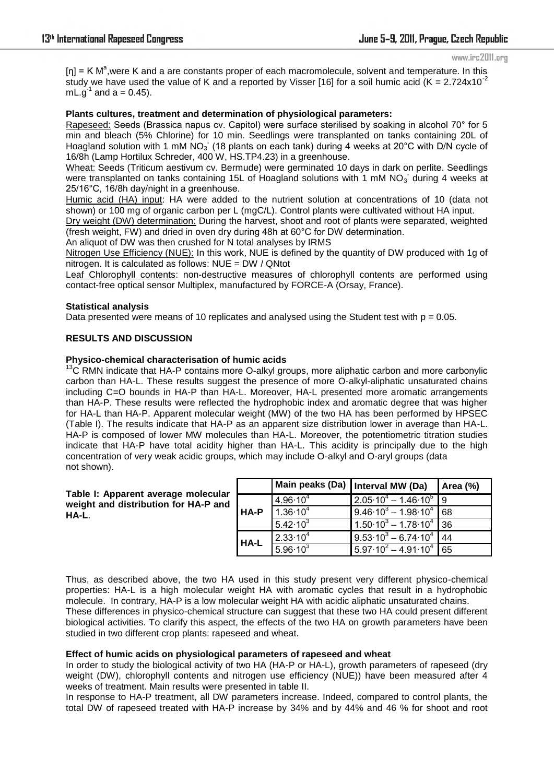$[n]$  = K M<sup>a</sup>, were K and a are constants proper of each macromolecule, solvent and temperature. In this study we have used the value of K and a reported by Visser [16] for a soil humic acid (K =  $2.724 \times 10^{-2}$ mL.g<sup>-1</sup> and a = 0.45).

# **Plants cultures, treatment and determination of physiological parameters:**

Rapeseed: Seeds (Brassica napus cv. Capitol) were surface sterilised by soaking in alcohol 70° for 5 min and bleach (5% Chlorine) for 10 min. Seedlings were transplanted on tanks containing 20L of Hoagland solution with 1 mM  $NO<sub>3</sub>$  (18 plants on each tank) during 4 weeks at 20°C with D/N cycle of 16/8h (Lamp Hortilux Schreder, 400 W, HS.TP4.23) in a greenhouse.

Wheat: Seeds (Triticum aestivum cv. Bermude) were germinated 10 days in dark on perlite. Seedlings were transplanted on tanks containing 15L of Hoagland solutions with 1 mM NO<sub>3</sub> during 4 weeks at 25/16°C, 16/8h day/night in a greenhouse.

Humic acid (HA) input: HA were added to the nutrient solution at concentrations of 10 (data not shown) or 100 mg of organic carbon per L (mgC/L). Control plants were cultivated without HA input.

Dry weight (DW) determination: During the harvest, shoot and root of plants were separated, weighted (fresh weight, FW) and dried in oven dry during 48h at 60°C for DW determination.

An aliquot of DW was then crushed for N total analyses by IRMS

Nitrogen Use Efficiency (NUE): In this work, NUE is defined by the quantity of DW produced with 1g of nitrogen. It is calculated as follows: NUE = DW / QNtot

Leaf Chlorophyll contents: non-destructive measures of chlorophyll contents are performed using contact-free optical sensor Multiplex, manufactured by FORCE-A (Orsay, France).

### **Statistical analysis**

Data presented were means of 10 replicates and analysed using the Student test with  $p = 0.05$ .

# **RESULTS AND DISCUSSION**

### **Physico-chemical characterisation of humic acids**

<sup>13</sup>C RMN indicate that HA-P contains more O-alkyl groups, more aliphatic carbon and more carbonylic carbon than HA-L. These results suggest the presence of more O-alkyl-aliphatic unsaturated chains including C=O bounds in HA-P than HA-L. Moreover, HA-L presented more aromatic arrangements than HA-P. These results were reflected the hydrophobic index and aromatic degree that was higher for HA-L than HA-P. Apparent molecular weight (MW) of the two HA has been performed by HPSEC (Table I). The results indicate that HA-P as an apparent size distribution lower in average than HA-L. HA-P is composed of lower MW molecules than HA-L. Moreover, the potentiometric titration studies indicate that HA-P have total acidity higher than HA-L. This acidity is principally due to the high concentration of very weak acidic groups, which may include O-alkyl and O-aryl groups (data not shown).

#### **Table I: Apparent average molecular weight and distribution for HA-P and HA-L**.

|      | Main peaks (Da)   Interval MW (Da) |                                            | Area (%) |
|------|------------------------------------|--------------------------------------------|----------|
| HA-P | $4.96 \cdot 10^{4}$                | $2.05 \cdot 10^{4} - 1.46 \cdot 10^{5}$ 9  |          |
|      | $1.36 \cdot 10^{4}$                | $9.46 \cdot 10^3 - 1.98 \cdot 10^4$ 68     |          |
|      | $5.42 \cdot 10^{3}$                | $1.50 \cdot 10^3 - 1.78 \cdot 10^4$ 36     |          |
| HA-L | $2.33 \cdot 10^{4}$                | $19.53 \cdot 10^3 - 6.74 \cdot 10^4$       | 44       |
|      | $5.96 \cdot 10^{3}$                | $\sqrt{5.97 \cdot 10^2 - 4.91 \cdot 10^4}$ | 65       |

Thus, as described above, the two HA used in this study present very different physico-chemical properties: HA-L is a high molecular weight HA with aromatic cycles that result in a hydrophobic molecule. In contrary, HA-P is a low molecular weight HA with acidic aliphatic unsaturated chains. These differences in physico-chemical structure can suggest that these two HA could present different biological activities. To clarify this aspect, the effects of the two HA on growth parameters have been studied in two different crop plants: rapeseed and wheat.

### **Effect of humic acids on physiological parameters of rapeseed and wheat**

In order to study the biological activity of two HA (HA-P or HA-L), growth parameters of rapeseed (dry weight (DW), chlorophyll contents and nitrogen use efficiency (NUE)) have been measured after 4 weeks of treatment. Main results were presented in table II.

In response to HA-P treatment, all DW parameters increase. Indeed, compared to control plants, the total DW of rapeseed treated with HA-P increase by 34% and by 44% and 46 % for shoot and root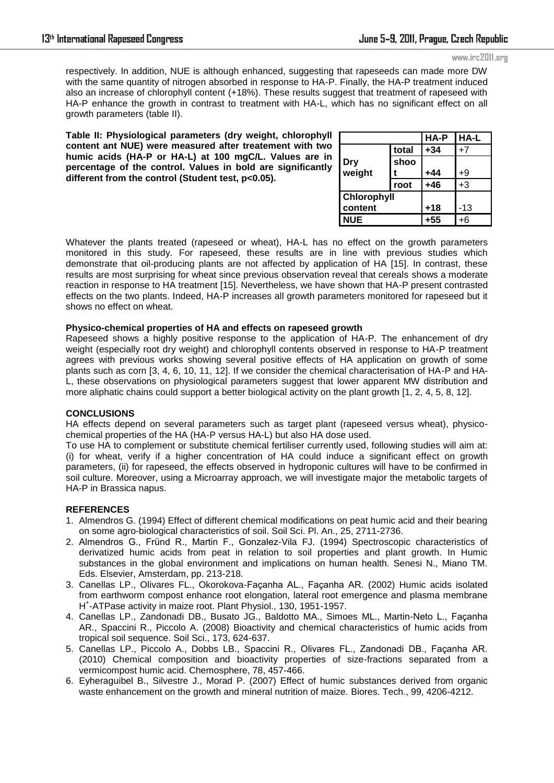respectively. In addition, NUE is although enhanced, suggesting that rapeseeds can made more DW with the same quantity of nitrogen absorbed in response to HA-P. Finally, the HA-P treatment induced also an increase of chlorophyll content (+18%). These results suggest that treatment of rapeseed with HA-P enhance the growth in contrast to treatment with HA-L, which has no significant effect on all growth parameters (table II).

**Table II: Physiological parameters (dry weight, chlorophyll content ant NUE) were measured after treatement with two humic acids (HA-P or HA-L) at 100 mgC/L. Values are in percentage of the control. Values in bold are significantly different from the control (Student test, p<0.05).** 

|             |       | HA-P  | HA-L |
|-------------|-------|-------|------|
|             | total | $+34$ | $+7$ |
| Dry         | shoo  |       |      |
| weight      |       | $+44$ | +9   |
|             | root  | $+46$ | $+3$ |
| Chlorophyll |       |       |      |
| content     |       | $+18$ | -13  |
| <b>NUE</b>  |       | +55   | +6   |

Whatever the plants treated (rapeseed or wheat), HA-L has no effect on the growth parameters monitored in this study. For rapeseed, these results are in line with previous studies which demonstrate that oil-producing plants are not affected by application of HA [15]. In contrast, these results are most surprising for wheat since previous observation reveal that cereals shows a moderate reaction in response to HA treatment [15]. Nevertheless, we have shown that HA-P present contrasted effects on the two plants. Indeed, HA-P increases all growth parameters monitored for rapeseed but it shows no effect on wheat.

### **Physico-chemical properties of HA and effects on rapeseed growth**

Rapeseed shows a highly positive response to the application of HA-P. The enhancement of dry weight (especially root dry weight) and chlorophyll contents observed in response to HA-P treatment agrees with previous works showing several positive effects of HA application on growth of some plants such as corn [3, 4, 6, 10, 11, 12]. If we consider the chemical characterisation of HA-P and HA-L, these observations on physiological parameters suggest that lower apparent MW distribution and more aliphatic chains could support a better biological activity on the plant growth [1, 2, 4, 5, 8, 12].

# **CONCLUSIONS**

HA effects depend on several parameters such as target plant (rapeseed versus wheat), physicochemical properties of the HA (HA-P versus HA-L) but also HA dose used.

To use HA to complement or substitute chemical fertiliser currently used, following studies will aim at: (i) for wheat, verify if a higher concentration of HA could induce a significant effect on growth parameters, (ii) for rapeseed, the effects observed in hydroponic cultures will have to be confirmed in soil culture. Moreover, using a Microarray approach, we will investigate major the metabolic targets of HA-P in Brassica napus.

### **REFERENCES**

- 1. Almendros G. (1994) Effect of different chemical modifications on peat humic acid and their bearing on some agro-biological characteristics of soil. Soil Sci. Pl. An., 25, 2711-2736.
- 2. Almendros G., Fründ R., Martin F., Gonzalez-Vila FJ. (1994) Spectroscopic characteristics of derivatized humic acids from peat in relation to soil properties and plant growth. In Humic substances in the global environment and implications on human health. Senesi N., Miano TM. Eds. Elsevier, Amsterdam, pp. 213-218.
- 3. Canellas LP., Olivares FL., Okorokova-Façanha AL., Façanha AR. (2002) Humic acids isolated from earthworm compost enhance root elongation, lateral root emergence and plasma membrane H + -ATPase activity in maize root. Plant Physiol., 130, 1951-1957.
- 4. Canellas LP., Zandonadi DB., Busato JG., Baldotto MA., Simoes ML., Martin-Neto L., Façanha AR., Spaccini R., Piccolo A. (2008) Bioactivity and chemical characteristics of humic acids from tropical soil sequence. Soil Sci., 173, 624-637.
- 5. Canellas LP., Piccolo A., Dobbs LB., Spaccini R., Olivares FL., Zandonadi DB., Façanha AR. (2010) Chemical composition and bioactivity properties of size-fractions separated from a vermicompost humic acid. Chemosphere, 78, 457-466.
- 6. Eyheraguibel B., Silvestre J., Morad P. (2007) Effect of humic substances derived from organic waste enhancement on the growth and mineral nutrition of maize. Biores. Tech., 99, 4206-4212.